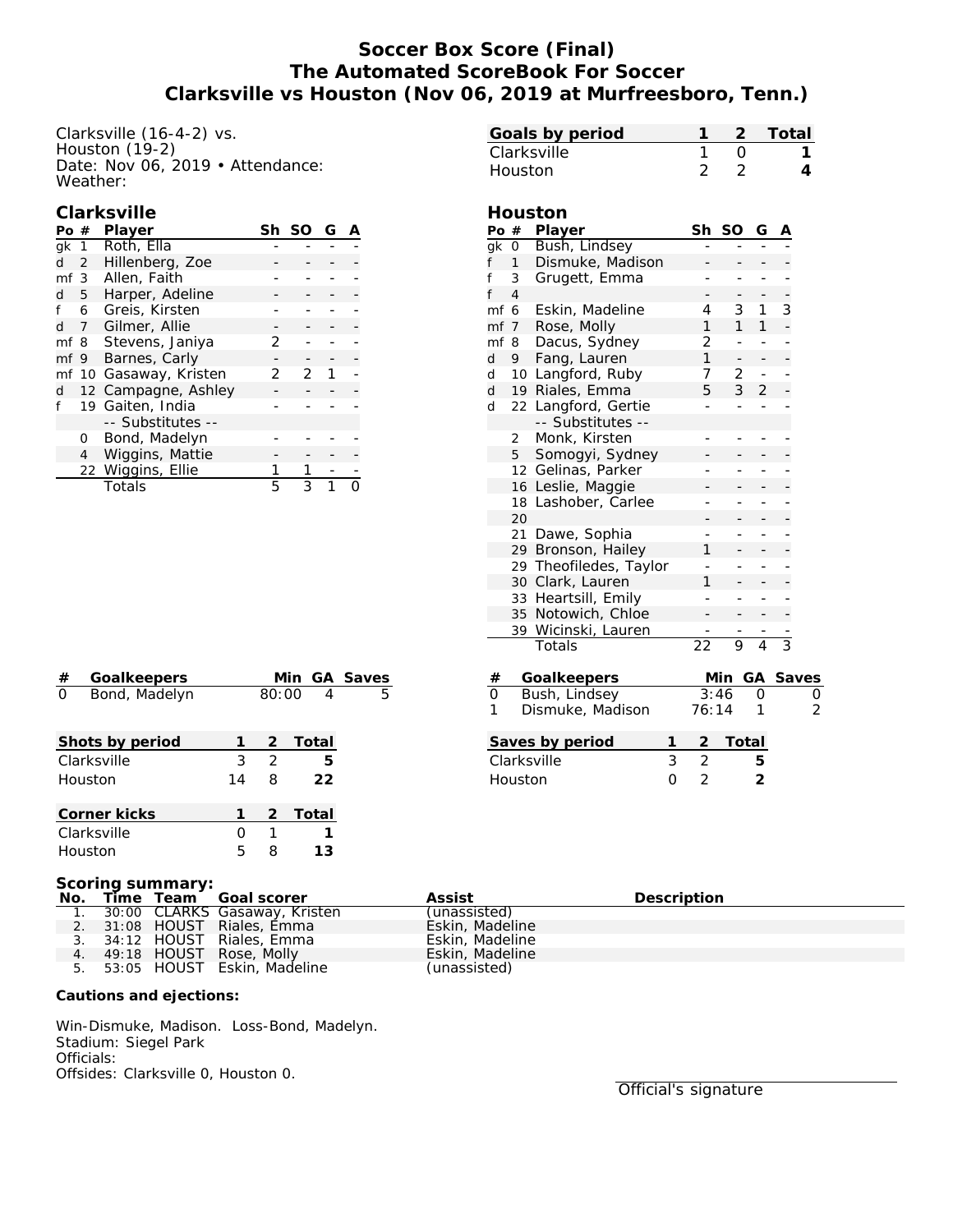# **Soccer Box Score (Final) The Automated ScoreBook For Soccer Clarksville vs Houston (Nov 06, 2019 at Murfreesboro, Tenn.)**

Clarksville (16-4-2) vs. Houston  $(19-2)$ Date: Nov 06, 2019 • Attendance: Weather:

#### **Clarksville**

| Po $#$ |                 | Player                 |   | Sh SO | G |  |
|--------|-----------------|------------------------|---|-------|---|--|
|        | gk $1$          | Roth, Ella             |   |       |   |  |
| d      |                 | 2 Hillenberg, Zoe      |   |       |   |  |
|        | mf <sub>3</sub> | Allen, Faith           |   |       |   |  |
| q      | 5               | Harper, Adeline        |   |       |   |  |
|        | 6               | Greis, Kirsten         |   |       |   |  |
| P.     |                 | 7 Gilmer, Allie        |   |       |   |  |
|        |                 | mf 8 Stevens, Janiya   | 2 |       |   |  |
|        |                 | mf 9 Barnes, Carly     |   |       |   |  |
|        |                 | mf 10 Gasaway, Kristen | 2 | 2     |   |  |
| d      |                 | 12 Campagne, Ashley    |   |       |   |  |
|        |                 | 19 Gaiten, India       |   |       |   |  |
|        |                 | -- Substitutes --      |   |       |   |  |
|        | O               | Bond, Madelyn          |   |       |   |  |
|        | 4               | Wiggins, Mattie        |   |       |   |  |
|        |                 | 22 Wiggins, Ellie      |   |       |   |  |
|        |                 | Totals                 | 5 |       |   |  |

|      |                | Houston              | 2               | 2            |                |                | 4                   |
|------|----------------|----------------------|-----------------|--------------|----------------|----------------|---------------------|
|      |                | Houston              |                 |              |                |                |                     |
| Po # |                | Player               | Sh              | SO           | G              |                |                     |
| gk   | $\overline{O}$ | Bush, Lindsey        |                 |              |                |                |                     |
| f    | 1              | Dismuke, Madison     |                 |              |                |                |                     |
| f    | 3              | Grugett, Emma        |                 | ÷,           | ÷              | -              |                     |
| f    | $\overline{4}$ |                      |                 |              |                |                |                     |
| mf   | 6              | Eskin, Madeline      | 4               | 3            | 1              | 3              |                     |
| mf 7 |                | Rose, Molly          | 1               | $\mathbf{1}$ | $\mathbf{1}$   | $\overline{a}$ |                     |
| mf   | 8              | Dacus, Sydney        | $\overline{2}$  |              | ÷              |                |                     |
| d    | 9              | Fang, Lauren         | 1               |              |                |                |                     |
| d    |                | 10 Langford, Ruby    | 7               | 2            |                |                |                     |
| d    |                | 19 Riales, Emma      | 5               | 3            | $\overline{2}$ |                |                     |
| d    |                | 22 Langford, Gertie  |                 |              |                |                |                     |
|      |                | -- Substitutes --    |                 |              |                |                |                     |
|      | $\overline{2}$ | Monk, Kirsten        |                 |              |                |                |                     |
|      | 5              | Somogyi, Sydney      |                 |              |                |                |                     |
|      | 12             | Gelinas, Parker      |                 |              |                |                |                     |
|      | 16             | Leslie, Maggie       |                 |              |                |                |                     |
|      | 18             | Lashober, Carlee     |                 |              |                |                |                     |
|      | 20             |                      |                 |              |                |                |                     |
|      | 21             | Dawe, Sophia         |                 |              |                |                |                     |
|      |                | 29 Bronson, Hailey   | 1               |              |                |                |                     |
|      | 29             | Theofiledes, Taylor  |                 | -            | -              |                |                     |
|      | 30             | Clark, Lauren        | 1               |              |                |                |                     |
|      | 33             | Heartsill, Emily     |                 | -            | ÷              |                |                     |
|      | 35             | Notowich, Chloe      |                 |              |                |                |                     |
|      |                | 39 Wicinski, Lauren  |                 |              |                |                |                     |
|      |                | Totals               | $\overline{22}$ | 9            | $\overline{4}$ | $\overline{3}$ |                     |
| #    |                | Goalkeepers          |                 | Min GA Saves |                |                |                     |
| 0    |                | Bush, Lindsey        |                 | 3:46         | 0              |                |                     |
| 1    |                | Dismuke, Madison     | 76:14           |              | 1              |                | $\overline{0}$<br>2 |
|      |                | Saves by period<br>1 |                 | Total        |                |                |                     |
|      |                | 3<br>Clarksville     | $\overline{2}$  |              | 5              |                |                     |
|      |                |                      |                 |              |                |                |                     |

**Goals by period 1 2 Total** Clarksville 1 0 **1**

| $^{\#}$  | Goalkeepers     |    |               |       | Min GA Saves |
|----------|-----------------|----|---------------|-------|--------------|
| $\Omega$ | Bond, Madelyn   |    | 80:00         | 4     | 5            |
|          |                 |    |               |       |              |
|          | Shots by period |    | 2             | Total |              |
|          | Clarksville     | 3  | $\mathcal{D}$ | 5     |              |
|          | Houston         | 14 | 8             | 22    |              |
|          |                 |    |               |       |              |
|          | Corner kicks    |    | 2             | Total |              |
|          | Clarksville     |    | 1             |       |              |
|          | Houston         | 5  | 8             | 13    |              |

| Bush, Lindsey<br>Dismuke, Madison |   | 3:46<br>76:14 |       |  |
|-----------------------------------|---|---------------|-------|--|
| Saves by period                   |   | 2             | Total |  |
| Clarksville                       | 3 | 2             |       |  |
| Houston                           |   | $\mathcal{P}$ | 2     |  |
|                                   |   |               |       |  |
|                                   |   |               |       |  |

#### **Scoring summary:**

|  | No. Time Team Goal scorer        | Assist          | Description |
|--|----------------------------------|-----------------|-------------|
|  | 1. 30:00 CLARKS Gasaway, Kristen | (unassisted)    |             |
|  | 2. 31:08 HOUST Riales, Emma      | Eskin, Madeline |             |
|  | 3. 34:12 HOUST Riales, Emma      | Eskin, Madeline |             |
|  | 4. 49:18 HOUST Rose, Molly       | Eskin, Madeline |             |
|  | 5. 53:05 HOUST Eskin, Madeline   | (unassisted)    |             |
|  |                                  |                 |             |

**Cautions and ejections:**

Win-Dismuke, Madison. Loss-Bond, Madelyn. Stadium: Siegel Park Officials: Offsides: Clarksville 0, Houston 0.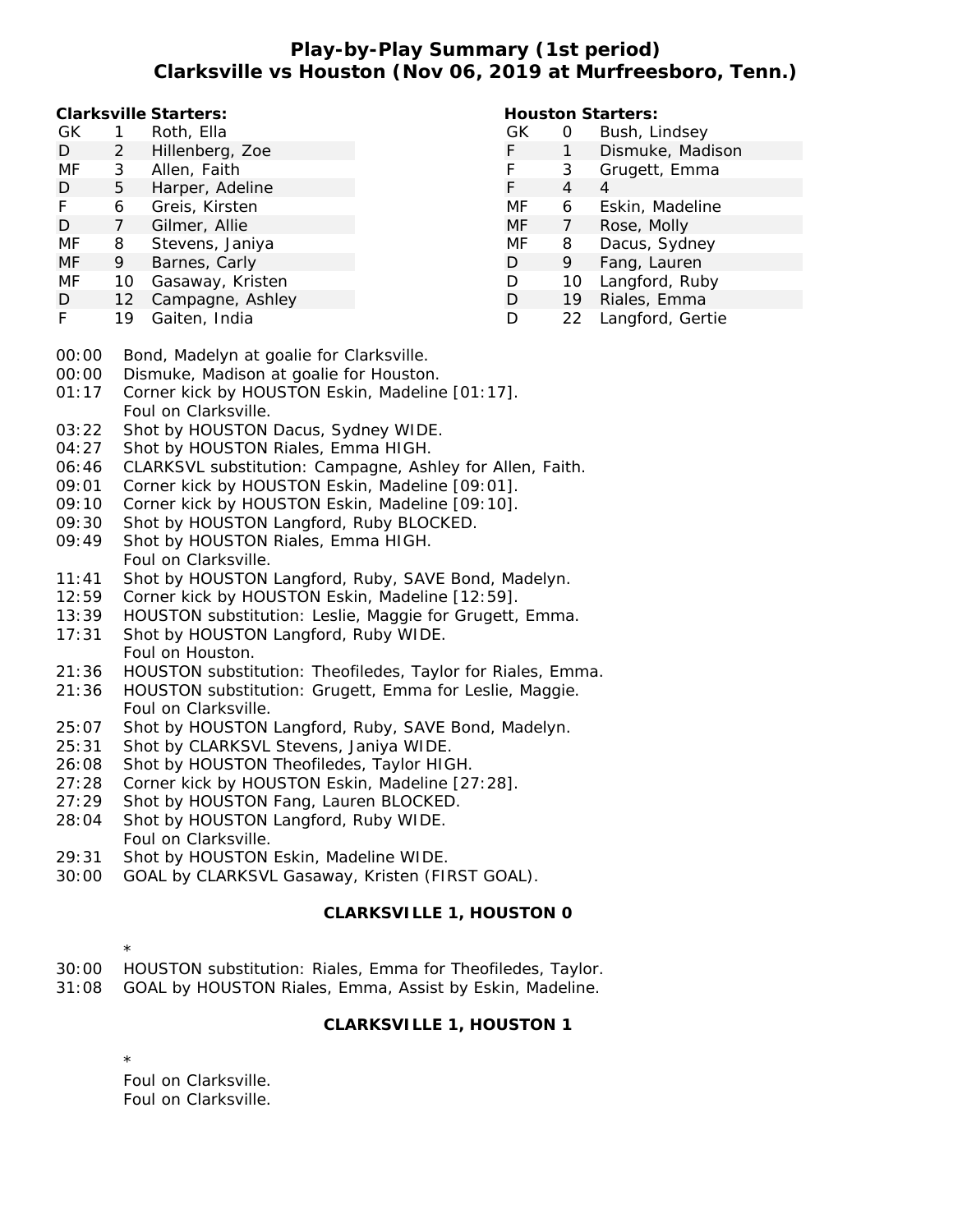# **Play-by-Play Summary (1st period) Clarksville vs Houston (Nov 06, 2019 at Murfreesboro, Tenn.)**

**Houston Starters:**

**Clarksville Starters:**

| GK<br>GК<br>Roth, Ella<br>Hillenberg, Zoe<br>2<br>D<br>MF<br>Allen, Faith<br>3<br>3<br>Harper, Adeline<br>D<br>5<br>4<br>MF<br>Greis, Kirsten<br>6<br>6<br>MF<br>Gilmer, Allie<br>D<br>MF<br>MF<br>Stevens, Janiya<br>8<br>8<br>MF<br>Barnes, Carly<br>9<br>9<br>D<br>MF<br>Gasaway, Kristen<br>D<br>10<br>10<br>12 Campagne, Ashley<br>D<br>19<br>D<br>Gaiten, India<br>D<br>19<br>22 |
|----------------------------------------------------------------------------------------------------------------------------------------------------------------------------------------------------------------------------------------------------------------------------------------------------------------------------------------------------------------------------------------|
|                                                                                                                                                                                                                                                                                                                                                                                        |
|                                                                                                                                                                                                                                                                                                                                                                                        |
|                                                                                                                                                                                                                                                                                                                                                                                        |
|                                                                                                                                                                                                                                                                                                                                                                                        |
|                                                                                                                                                                                                                                                                                                                                                                                        |
|                                                                                                                                                                                                                                                                                                                                                                                        |
|                                                                                                                                                                                                                                                                                                                                                                                        |
|                                                                                                                                                                                                                                                                                                                                                                                        |
|                                                                                                                                                                                                                                                                                                                                                                                        |
|                                                                                                                                                                                                                                                                                                                                                                                        |
|                                                                                                                                                                                                                                                                                                                                                                                        |

- 00:00 Bond, Madelyn at goalie for Clarksville.
- 00:00 Dismuke, Madison at goalie for Houston.
- 01:17 Corner kick by HOUSTON Eskin, Madeline [01:17]. Foul on Clarksville.
- 03:22 Shot by HOUSTON Dacus, Sydney WIDE.
- 04:27 Shot by HOUSTON Riales, Emma HIGH.
- 06:46 CLARKSVL substitution: Campagne, Ashley for Allen, Faith.
- 09:01 Corner kick by HOUSTON Eskin, Madeline [09:01].
- 09:10 Corner kick by HOUSTON Eskin, Madeline [09:10].
- 09:30 Shot by HOUSTON Langford, Ruby BLOCKED.
- 09:49 Shot by HOUSTON Riales, Emma HIGH. Foul on Clarksville.
- 11:41 Shot by HOUSTON Langford, Ruby, SAVE Bond, Madelyn.
- 12:59 Corner kick by HOUSTON Eskin, Madeline [12:59].
- 13:39 HOUSTON substitution: Leslie, Maggie for Grugett, Emma.
- 17:31 Shot by HOUSTON Langford, Ruby WIDE. Foul on Houston.
- 21:36 HOUSTON substitution: Theofiledes, Taylor for Riales, Emma.
- 21:36 HOUSTON substitution: Grugett, Emma for Leslie, Maggie. Foul on Clarksville.
- 25:07 Shot by HOUSTON Langford, Ruby, SAVE Bond, Madelyn.
- 25:31 Shot by CLARKSVL Stevens, Janiya WIDE.
- 26:08 Shot by HOUSTON Theofiledes, Taylor HIGH.
- 27:28 Corner kick by HOUSTON Eskin, Madeline [27:28].
- 27:29 Shot by HOUSTON Fang, Lauren BLOCKED.
- 28:04 Shot by HOUSTON Langford, Ruby WIDE. Foul on Clarksville.
- 29:31 Shot by HOUSTON Eskin, Madeline WIDE.
- 30:00 GOAL by CLARKSVL Gasaway, Kristen (FIRST GOAL).

## **CLARKSVILLE 1, HOUSTON 0**

- \*
- 30:00 HOUSTON substitution: Riales, Emma for Theofiledes, Taylor.
- 31:08 GOAL by HOUSTON Riales, Emma, Assist by Eskin, Madeline.

### **CLARKSVILLE 1, HOUSTON 1**

\* Foul on Clarksville. Foul on Clarksville.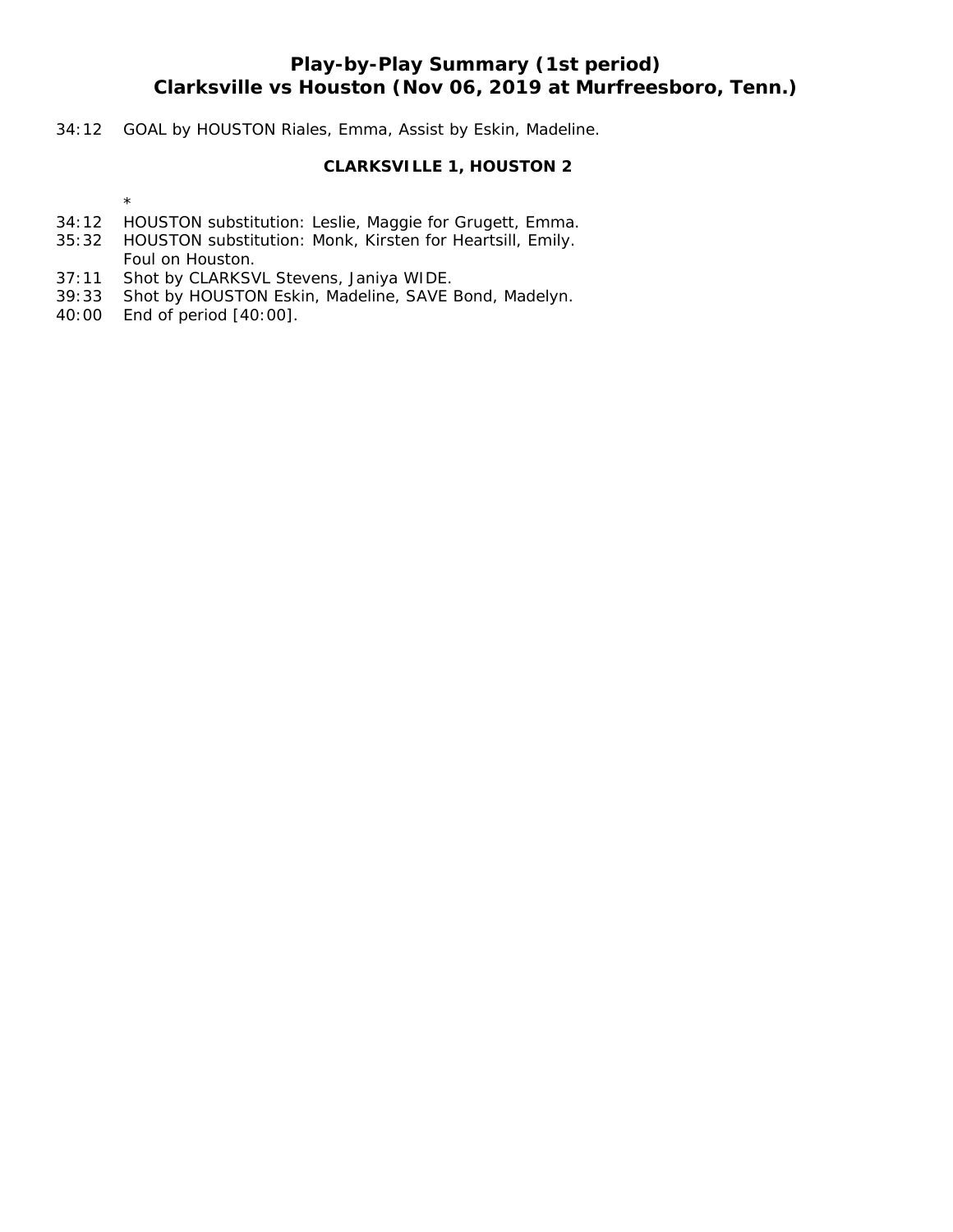# **Play-by-Play Summary (1st period) Clarksville vs Houston (Nov 06, 2019 at Murfreesboro, Tenn.)**

### 34:12 GOAL by HOUSTON Riales, Emma, Assist by Eskin, Madeline.

### **CLARKSVILLE 1, HOUSTON 2**

\*

- 34:12 HOUSTON substitution: Leslie, Maggie for Grugett, Emma.
- 35:32 HOUSTON substitution: Monk, Kirsten for Heartsill, Emily. Foul on Houston.
- 37:11 Shot by CLARKSVL Stevens, Janiya WIDE.
- 39:33 Shot by HOUSTON Eskin, Madeline, SAVE Bond, Madelyn.
- 40:00 End of period [40:00].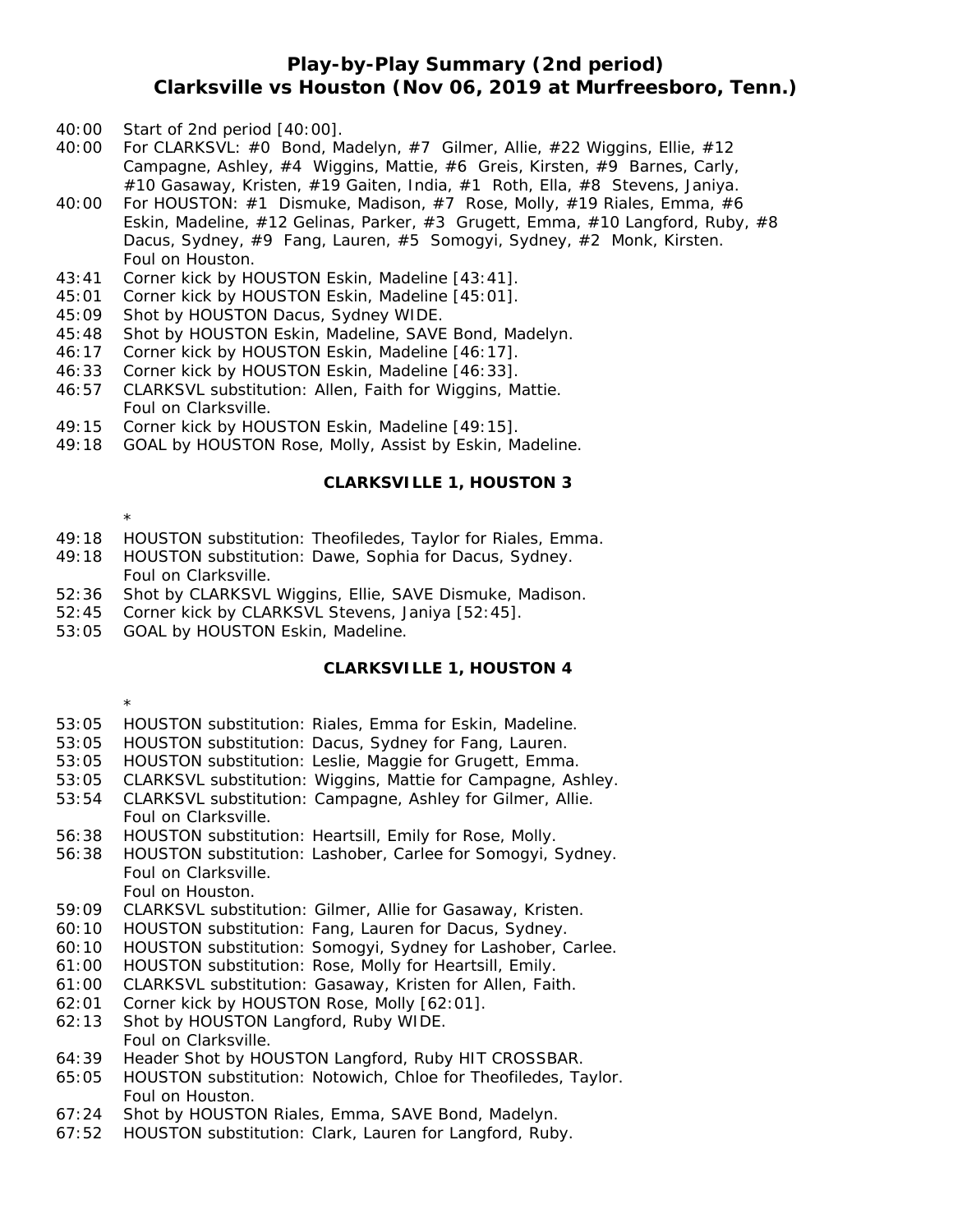## **Play-by-Play Summary (2nd period) Clarksville vs Houston (Nov 06, 2019 at Murfreesboro, Tenn.)**

- 40:00 Start of 2nd period [40:00].
- 40:00 For CLARKSVL: #0 Bond, Madelyn, #7 Gilmer, Allie, #22 Wiggins, Ellie, #12 Campagne, Ashley, #4 Wiggins, Mattie, #6 Greis, Kirsten, #9 Barnes, Carly, #10 Gasaway, Kristen, #19 Gaiten, India, #1 Roth, Ella, #8 Stevens, Janiya.
- 40:00 For HOUSTON: #1 Dismuke, Madison, #7 Rose, Molly, #19 Riales, Emma, #6 Eskin, Madeline, #12 Gelinas, Parker, #3 Grugett, Emma, #10 Langford, Ruby, #8 Dacus, Sydney, #9 Fang, Lauren, #5 Somogyi, Sydney, #2 Monk, Kirsten. Foul on Houston.
- 43:41 Corner kick by HOUSTON Eskin, Madeline [43:41].
- 45:01 Corner kick by HOUSTON Eskin, Madeline [45:01].
- 45:09 Shot by HOUSTON Dacus, Sydney WIDE.
- 45:48 Shot by HOUSTON Eskin, Madeline, SAVE Bond, Madelyn.
- 46:17 Corner kick by HOUSTON Eskin, Madeline [46:17].
- 46:33 Corner kick by HOUSTON Eskin, Madeline [46:33].
- 46:57 CLARKSVL substitution: Allen, Faith for Wiggins, Mattie. Foul on Clarksville.
- 49:15 Corner kick by HOUSTON Eskin, Madeline [49:15].
- 49:18 GOAL by HOUSTON Rose, Molly, Assist by Eskin, Madeline.

#### **CLARKSVILLE 1, HOUSTON 3**

\*

- 49:18 HOUSTON substitution: Theofiledes, Taylor for Riales, Emma.
- 49:18 HOUSTON substitution: Dawe, Sophia for Dacus, Sydney. Foul on Clarksville.
- 52:36 Shot by CLARKSVL Wiggins, Ellie, SAVE Dismuke, Madison.
- 52:45 Corner kick by CLARKSVL Stevens, Janiya [52:45].
- 53:05 GOAL by HOUSTON Eskin, Madeline.

#### **CLARKSVILLE 1, HOUSTON 4**

\*

- 53:05 HOUSTON substitution: Riales, Emma for Eskin, Madeline.
- 53:05 HOUSTON substitution: Dacus, Sydney for Fang, Lauren.
- 53:05 HOUSTON substitution: Leslie, Maggie for Grugett, Emma.
- 53:05 CLARKSVL substitution: Wiggins, Mattie for Campagne, Ashley.
- 53:54 CLARKSVL substitution: Campagne, Ashley for Gilmer, Allie. Foul on Clarksville.
- 56:38 HOUSTON substitution: Heartsill, Emily for Rose, Molly.
- 56:38 HOUSTON substitution: Lashober, Carlee for Somogyi, Sydney. Foul on Clarksville.
	- Foul on Houston.
- 59:09 CLARKSVL substitution: Gilmer, Allie for Gasaway, Kristen.
- 60:10 HOUSTON substitution: Fang, Lauren for Dacus, Sydney.
- 60:10 HOUSTON substitution: Somogyi, Sydney for Lashober, Carlee.
- 61:00 HOUSTON substitution: Rose, Molly for Heartsill, Emily.
- 61:00 CLARKSVL substitution: Gasaway, Kristen for Allen, Faith.
- 62:01 Corner kick by HOUSTON Rose, Molly [62:01].
- 62:13 Shot by HOUSTON Langford, Ruby WIDE. Foul on Clarksville.
- 64:39 Header Shot by HOUSTON Langford, Ruby HIT CROSSBAR.
- 65:05 HOUSTON substitution: Notowich, Chloe for Theofiledes, Taylor. Foul on Houston.
- 67:24 Shot by HOUSTON Riales, Emma, SAVE Bond, Madelyn.
- 67:52 HOUSTON substitution: Clark, Lauren for Langford, Ruby.